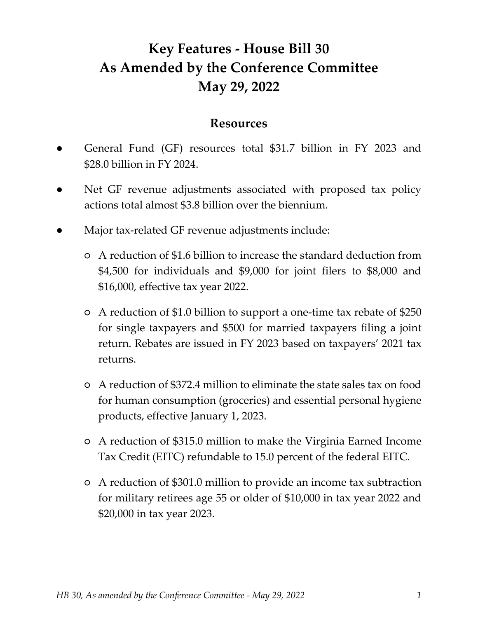# **Key Features - House Bill 30 As Amended by the Conference Committee May 29, 2022**

#### **Resources**

- General Fund (GF) resources total \$31.7 billion in FY 2023 and \$28.0 billion in FY 2024.
- Net GF revenue adjustments associated with proposed tax policy actions total almost \$3.8 billion over the biennium.
- Major tax-related GF revenue adjustments include:
	- A reduction of \$1.6 billion to increase the standard deduction from \$4,500 for individuals and \$9,000 for joint filers to \$8,000 and \$16,000, effective tax year 2022.
	- A reduction of \$1.0 billion to support a one-time tax rebate of \$250 for single taxpayers and \$500 for married taxpayers filing a joint return. Rebates are issued in FY 2023 based on taxpayers' 2021 tax returns.
	- A reduction of \$372.4 million to eliminate the state sales tax on food for human consumption (groceries) and essential personal hygiene products, effective January 1, 2023.
	- A reduction of \$315.0 million to make the Virginia Earned Income Tax Credit (EITC) refundable to 15.0 percent of the federal EITC.
	- A reduction of \$301.0 million to provide an income tax subtraction for military retirees age 55 or older of \$10,000 in tax year 2022 and \$20,000 in tax year 2023.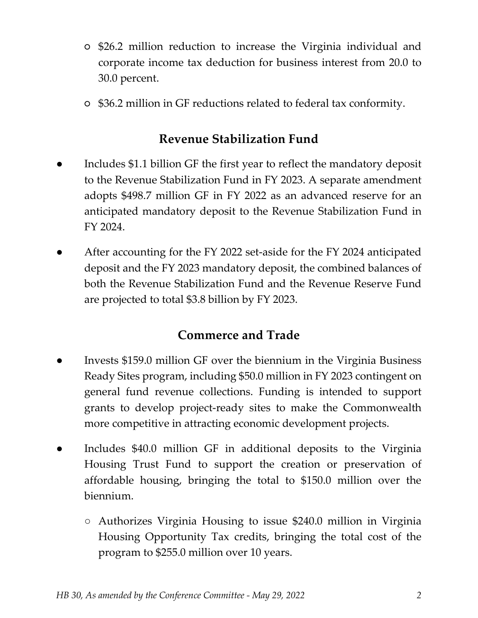- \$26.2 million reduction to increase the Virginia individual and corporate income tax deduction for business interest from 20.0 to 30.0 percent.
- \$36.2 million in GF reductions related to federal tax conformity.

# **Revenue Stabilization Fund**

- Includes \$1.1 billion GF the first year to reflect the mandatory deposit to the Revenue Stabilization Fund in FY 2023. A separate amendment adopts \$498.7 million GF in FY 2022 as an advanced reserve for an anticipated mandatory deposit to the Revenue Stabilization Fund in FY 2024.
- After accounting for the FY 2022 set-aside for the FY 2024 anticipated deposit and the FY 2023 mandatory deposit, the combined balances of both the Revenue Stabilization Fund and the Revenue Reserve Fund are projected to total \$3.8 billion by FY 2023.

# **Commerce and Trade**

- Invests \$159.0 million GF over the biennium in the Virginia Business Ready Sites program, including \$50.0 million in FY 2023 contingent on general fund revenue collections. Funding is intended to support grants to develop project-ready sites to make the Commonwealth more competitive in attracting economic development projects.
- Includes \$40.0 million GF in additional deposits to the Virginia Housing Trust Fund to support the creation or preservation of affordable housing, bringing the total to \$150.0 million over the biennium.
	- Authorizes Virginia Housing to issue \$240.0 million in Virginia Housing Opportunity Tax credits, bringing the total cost of the program to \$255.0 million over 10 years.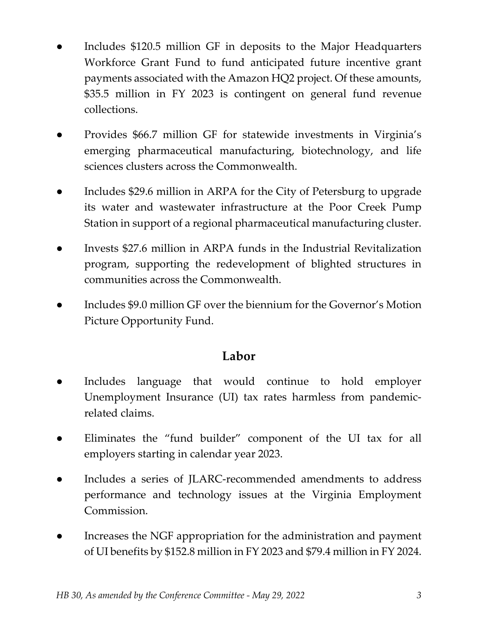- Includes \$120.5 million GF in deposits to the Major Headquarters Workforce Grant Fund to fund anticipated future incentive grant payments associated with the Amazon HQ2 project. Of these amounts, \$35.5 million in FY 2023 is contingent on general fund revenue collections.
- Provides \$66.7 million GF for statewide investments in Virginia's emerging pharmaceutical manufacturing, biotechnology, and life sciences clusters across the Commonwealth.
- Includes \$29.6 million in ARPA for the City of Petersburg to upgrade its water and wastewater infrastructure at the Poor Creek Pump Station in support of a regional pharmaceutical manufacturing cluster.
- Invests \$27.6 million in ARPA funds in the Industrial Revitalization program, supporting the redevelopment of blighted structures in communities across the Commonwealth.
- Includes \$9.0 million GF over the biennium for the Governor's Motion Picture Opportunity Fund.

### **Labor**

- Includes language that would continue to hold employer Unemployment Insurance (UI) tax rates harmless from pandemicrelated claims.
- Eliminates the "fund builder" component of the UI tax for all employers starting in calendar year 2023.
- Includes a series of JLARC-recommended amendments to address performance and technology issues at the Virginia Employment Commission.
- Increases the NGF appropriation for the administration and payment of UI benefits by \$152.8 million in FY 2023 and \$79.4 million in FY 2024.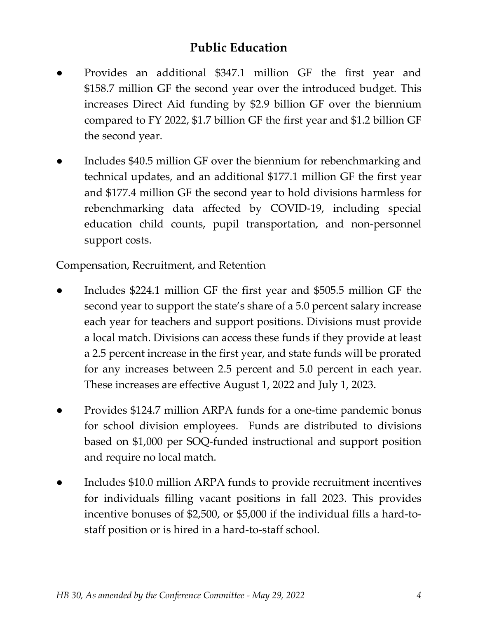# **Public Education**

- Provides an additional \$347.1 million GF the first year and \$158.7 million GF the second year over the introduced budget. This increases Direct Aid funding by \$2.9 billion GF over the biennium compared to FY 2022, \$1.7 billion GF the first year and \$1.2 billion GF the second year.
- Includes \$40.5 million GF over the biennium for rebenchmarking and technical updates, and an additional \$177.1 million GF the first year and \$177.4 million GF the second year to hold divisions harmless for rebenchmarking data affected by COVID-19, including special education child counts, pupil transportation, and non-personnel support costs.

### Compensation, Recruitment, and Retention

- Includes \$224.1 million GF the first year and \$505.5 million GF the second year to support the state's share of a 5.0 percent salary increase each year for teachers and support positions. Divisions must provide a local match. Divisions can access these funds if they provide at least a 2.5 percent increase in the first year, and state funds will be prorated for any increases between 2.5 percent and 5.0 percent in each year. These increases are effective August 1, 2022 and July 1, 2023.
- Provides \$124.7 million ARPA funds for a one-time pandemic bonus for school division employees. Funds are distributed to divisions based on \$1,000 per SOQ-funded instructional and support position and require no local match.
- Includes \$10.0 million ARPA funds to provide recruitment incentives for individuals filling vacant positions in fall 2023. This provides incentive bonuses of \$2,500, or \$5,000 if the individual fills a hard-tostaff position or is hired in a hard-to-staff school.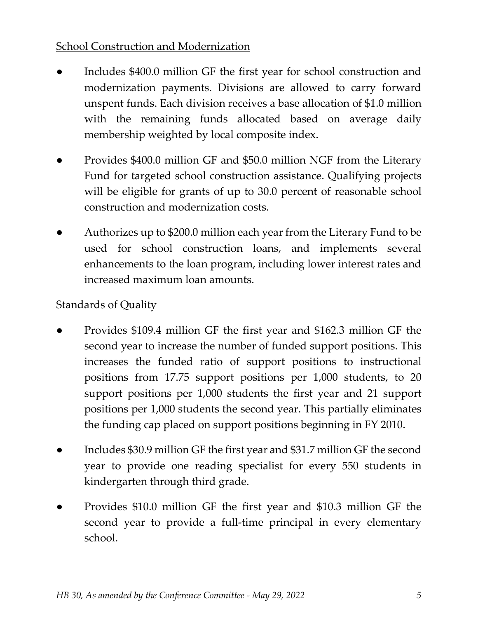### School Construction and Modernization

- Includes \$400.0 million GF the first year for school construction and modernization payments. Divisions are allowed to carry forward unspent funds. Each division receives a base allocation of \$1.0 million with the remaining funds allocated based on average daily membership weighted by local composite index.
- Provides \$400.0 million GF and \$50.0 million NGF from the Literary Fund for targeted school construction assistance. Qualifying projects will be eligible for grants of up to 30.0 percent of reasonable school construction and modernization costs.
- Authorizes up to \$200.0 million each year from the Literary Fund to be used for school construction loans, and implements several enhancements to the loan program, including lower interest rates and increased maximum loan amounts.

### Standards of Quality

- Provides \$109.4 million GF the first year and \$162.3 million GF the second year to increase the number of funded support positions. This increases the funded ratio of support positions to instructional positions from 17.75 support positions per 1,000 students, to 20 support positions per 1,000 students the first year and 21 support positions per 1,000 students the second year. This partially eliminates the funding cap placed on support positions beginning in FY 2010.
- Includes \$30.9 million GF the first year and \$31.7 million GF the second year to provide one reading specialist for every 550 students in kindergarten through third grade.
- Provides \$10.0 million GF the first year and \$10.3 million GF the second year to provide a full-time principal in every elementary school.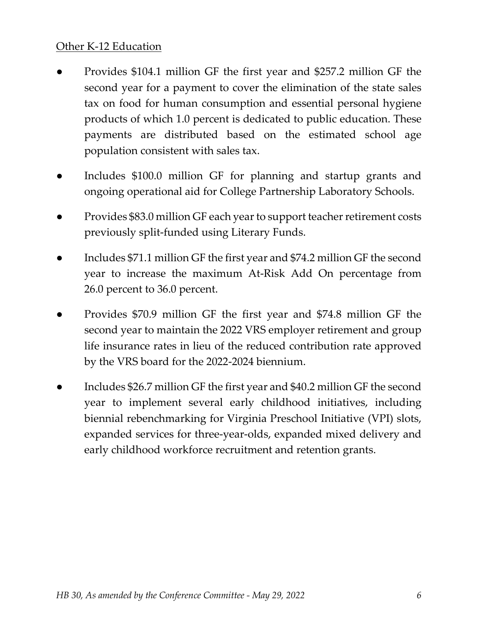#### Other K-12 Education

- Provides \$104.1 million GF the first year and \$257.2 million GF the second year for a payment to cover the elimination of the state sales tax on food for human consumption and essential personal hygiene products of which 1.0 percent is dedicated to public education. These payments are distributed based on the estimated school age population consistent with sales tax.
- Includes \$100.0 million GF for planning and startup grants and ongoing operational aid for College Partnership Laboratory Schools.
- Provides \$83.0 million GF each year to support teacher retirement costs previously split-funded using Literary Funds.
- Includes \$71.1 million GF the first year and \$74.2 million GF the second year to increase the maximum At-Risk Add On percentage from 26.0 percent to 36.0 percent.
- Provides \$70.9 million GF the first year and \$74.8 million GF the second year to maintain the 2022 VRS employer retirement and group life insurance rates in lieu of the reduced contribution rate approved by the VRS board for the 2022-2024 biennium.
- Includes \$26.7 million GF the first year and \$40.2 million GF the second year to implement several early childhood initiatives, including biennial rebenchmarking for Virginia Preschool Initiative (VPI) slots, expanded services for three-year-olds, expanded mixed delivery and early childhood workforce recruitment and retention grants.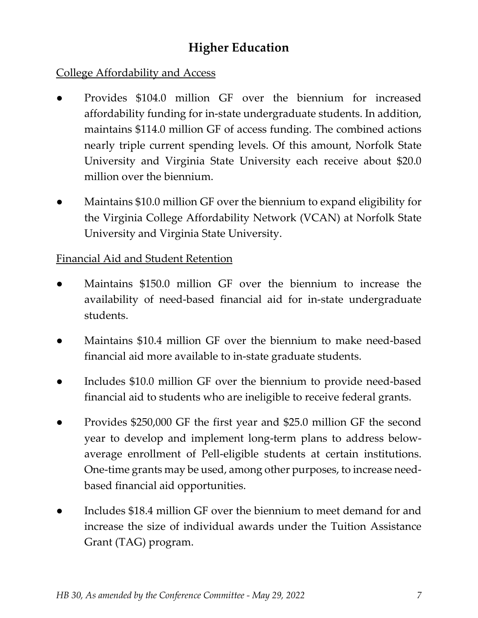# **Higher Education**

### College Affordability and Access

- Provides \$104.0 million GF over the biennium for increased affordability funding for in-state undergraduate students. In addition, maintains \$114.0 million GF of access funding. The combined actions nearly triple current spending levels. Of this amount, Norfolk State University and Virginia State University each receive about \$20.0 million over the biennium.
- Maintains \$10.0 million GF over the biennium to expand eligibility for the Virginia College Affordability Network (VCAN) at Norfolk State University and Virginia State University.

### Financial Aid and Student Retention

- Maintains \$150.0 million GF over the biennium to increase the availability of need-based financial aid for in-state undergraduate students.
- Maintains \$10.4 million GF over the biennium to make need-based financial aid more available to in-state graduate students.
- Includes \$10.0 million GF over the biennium to provide need-based financial aid to students who are ineligible to receive federal grants.
- Provides \$250,000 GF the first year and \$25.0 million GF the second year to develop and implement long-term plans to address belowaverage enrollment of Pell-eligible students at certain institutions. One-time grants may be used, among other purposes, to increase needbased financial aid opportunities.
- Includes \$18.4 million GF over the biennium to meet demand for and increase the size of individual awards under the Tuition Assistance Grant (TAG) program.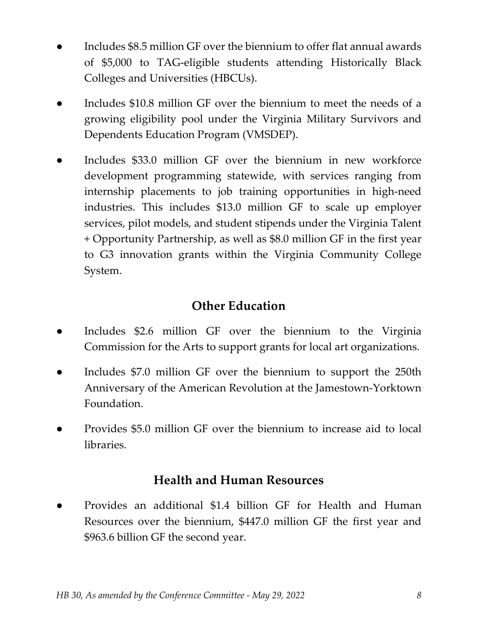- Includes \$8.5 million GF over the biennium to offer flat annual awards of \$5,000 to TAG-eligible students attending Historically Black Colleges and Universities (HBCUs).
- Includes \$10.8 million GF over the biennium to meet the needs of a growing eligibility pool under the Virginia Military Survivors and Dependents Education Program (VMSDEP).
- Includes \$33.0 million GF over the biennium in new workforce development programming statewide, with services ranging from internship placements to job training opportunities in high-need industries. This includes \$13.0 million GF to scale up employer services, pilot models, and student stipends under the Virginia Talent + Opportunity Partnership, as well as \$8.0 million GF in the first year to G3 innovation grants within the Virginia Community College System.

### **Other Education**

- Includes \$2.6 million GF over the biennium to the Virginia Commission for the Arts to support grants for local art organizations.
- Includes \$7.0 million GF over the biennium to support the 250th Anniversary of the American Revolution at the Jamestown-Yorktown Foundation.
- Provides \$5.0 million GF over the biennium to increase aid to local libraries.

### **Health and Human Resources**

Provides an additional \$1.4 billion GF for Health and Human Resources over the biennium, \$447.0 million GF the first year and \$963.6 billion GF the second year.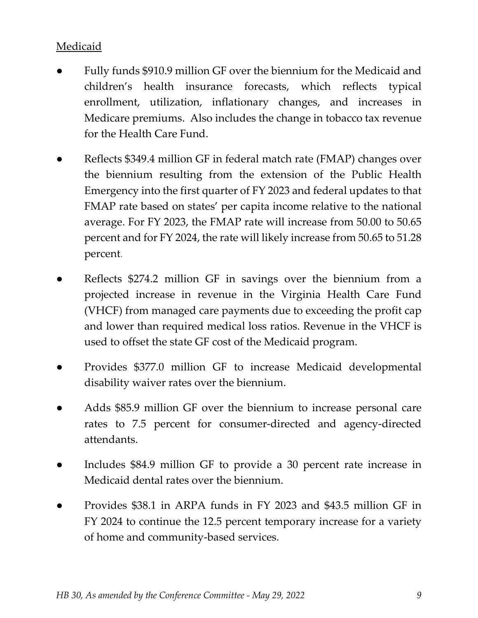### **Medicaid**

- Fully funds \$910.9 million GF over the biennium for the Medicaid and children's health insurance forecasts, which reflects typical enrollment, utilization, inflationary changes, and increases in Medicare premiums. Also includes the change in tobacco tax revenue for the Health Care Fund.
- Reflects \$349.4 million GF in federal match rate (FMAP) changes over the biennium resulting from the extension of the Public Health Emergency into the first quarter of FY 2023 and federal updates to that FMAP rate based on states' per capita income relative to the national average. For FY 2023, the FMAP rate will increase from 50.00 to 50.65 percent and for FY 2024, the rate will likely increase from 50.65 to 51.28 percent.
- Reflects \$274.2 million GF in savings over the biennium from a projected increase in revenue in the Virginia Health Care Fund (VHCF) from managed care payments due to exceeding the profit cap and lower than required medical loss ratios. Revenue in the VHCF is used to offset the state GF cost of the Medicaid program.
- Provides \$377.0 million GF to increase Medicaid developmental disability waiver rates over the biennium.
- Adds \$85.9 million GF over the biennium to increase personal care rates to 7.5 percent for consumer-directed and agency-directed attendants.
- Includes \$84.9 million GF to provide a 30 percent rate increase in Medicaid dental rates over the biennium.
- Provides \$38.1 in ARPA funds in FY 2023 and \$43.5 million GF in FY 2024 to continue the 12.5 percent temporary increase for a variety of home and community-based services.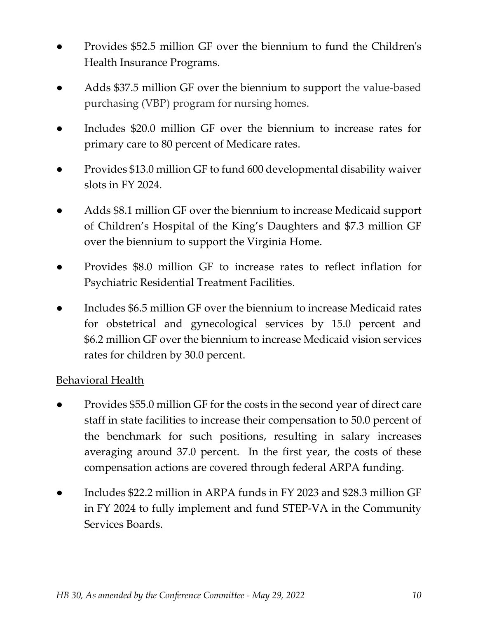- Provides \$52.5 million GF over the biennium to fund the Children's Health Insurance Programs.
- Adds \$37.5 million GF over the biennium to support the value-based purchasing (VBP) program for nursing homes.
- Includes \$20.0 million GF over the biennium to increase rates for primary care to 80 percent of Medicare rates.
- Provides \$13.0 million GF to fund 600 developmental disability waiver slots in FY 2024.
- Adds \$8.1 million GF over the biennium to increase Medicaid support of Children's Hospital of the King's Daughters and \$7.3 million GF over the biennium to support the Virginia Home.
- Provides \$8.0 million GF to increase rates to reflect inflation for Psychiatric Residential Treatment Facilities.
- Includes \$6.5 million GF over the biennium to increase Medicaid rates for obstetrical and gynecological services by 15.0 percent and \$6.2 million GF over the biennium to increase Medicaid vision services rates for children by 30.0 percent.

### Behavioral Health

- Provides \$55.0 million GF for the costs in the second year of direct care staff in state facilities to increase their compensation to 50.0 percent of the benchmark for such positions, resulting in salary increases averaging around 37.0 percent. In the first year, the costs of these compensation actions are covered through federal ARPA funding.
- Includes \$22.2 million in ARPA funds in FY 2023 and \$28.3 million GF in FY 2024 to fully implement and fund STEP-VA in the Community Services Boards.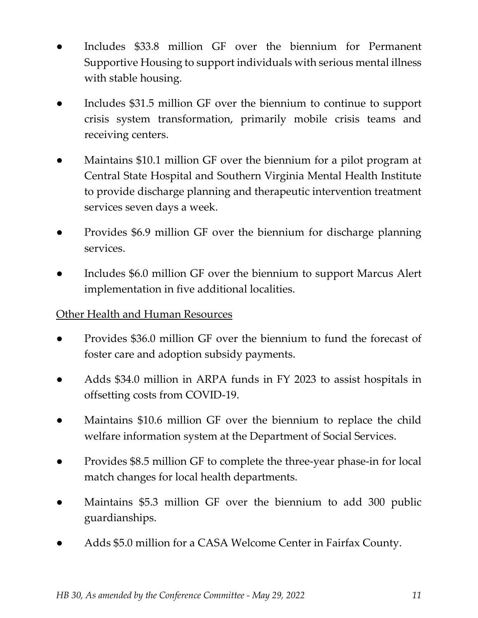- Includes \$33.8 million GF over the biennium for Permanent Supportive Housing to support individuals with serious mental illness with stable housing.
- Includes \$31.5 million GF over the biennium to continue to support crisis system transformation, primarily mobile crisis teams and receiving centers.
- Maintains \$10.1 million GF over the biennium for a pilot program at Central State Hospital and Southern Virginia Mental Health Institute to provide discharge planning and therapeutic intervention treatment services seven days a week.
- Provides \$6.9 million GF over the biennium for discharge planning services.
- Includes \$6.0 million GF over the biennium to support Marcus Alert implementation in five additional localities.

### Other Health and Human Resources

- Provides \$36.0 million GF over the biennium to fund the forecast of foster care and adoption subsidy payments.
- Adds \$34.0 million in ARPA funds in FY 2023 to assist hospitals in offsetting costs from COVID-19.
- Maintains \$10.6 million GF over the biennium to replace the child welfare information system at the Department of Social Services.
- Provides \$8.5 million GF to complete the three-year phase-in for local match changes for local health departments.
- Maintains \$5.3 million GF over the biennium to add 300 public guardianships.
- Adds \$5.0 million for a CASA Welcome Center in Fairfax County.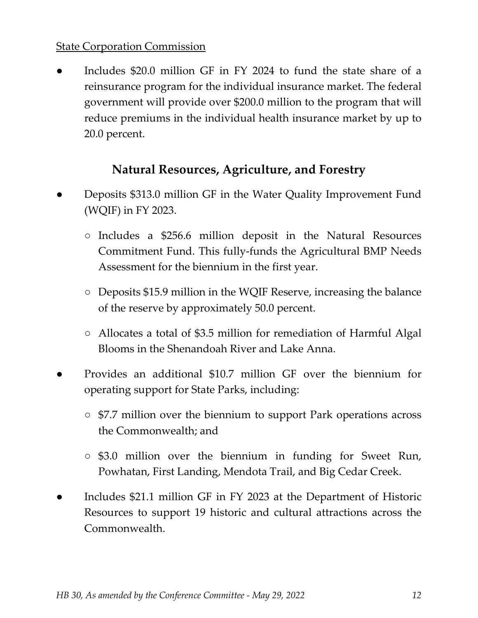#### State Corporation Commission

Includes \$20.0 million GF in FY 2024 to fund the state share of a reinsurance program for the individual insurance market. The federal government will provide over \$200.0 million to the program that will reduce premiums in the individual health insurance market by up to 20.0 percent.

### **Natural Resources, Agriculture, and Forestry**

- Deposits \$313.0 million GF in the Water Quality Improvement Fund (WQIF) in FY 2023.
	- Includes a \$256.6 million deposit in the Natural Resources Commitment Fund. This fully-funds the Agricultural BMP Needs Assessment for the biennium in the first year.
	- Deposits \$15.9 million in the WQIF Reserve, increasing the balance of the reserve by approximately 50.0 percent.
	- Allocates a total of \$3.5 million for remediation of Harmful Algal Blooms in the Shenandoah River and Lake Anna.
- Provides an additional \$10.7 million GF over the biennium for operating support for State Parks, including:
	- \$7.7 million over the biennium to support Park operations across the Commonwealth; and
	- \$3.0 million over the biennium in funding for Sweet Run, Powhatan, First Landing, Mendota Trail, and Big Cedar Creek.
- Includes \$21.1 million GF in FY 2023 at the Department of Historic Resources to support 19 historic and cultural attractions across the Commonwealth.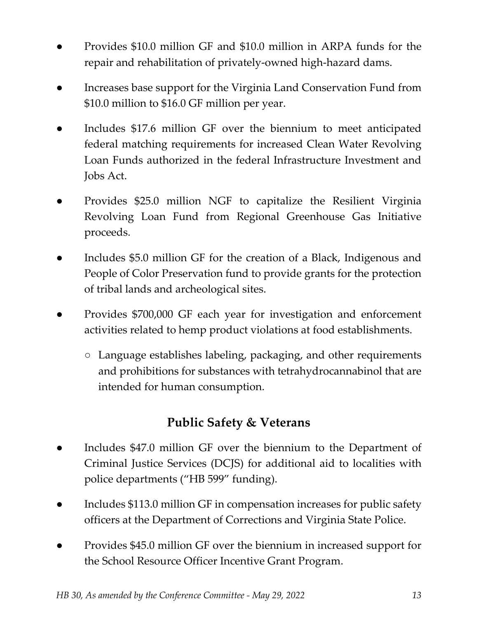- Provides \$10.0 million GF and \$10.0 million in ARPA funds for the repair and rehabilitation of privately-owned high-hazard dams.
- Increases base support for the Virginia Land Conservation Fund from \$10.0 million to \$16.0 GF million per year.
- Includes \$17.6 million GF over the biennium to meet anticipated federal matching requirements for increased Clean Water Revolving Loan Funds authorized in the federal Infrastructure Investment and Jobs Act.
- Provides \$25.0 million NGF to capitalize the Resilient Virginia Revolving Loan Fund from Regional Greenhouse Gas Initiative proceeds.
- Includes \$5.0 million GF for the creation of a Black, Indigenous and People of Color Preservation fund to provide grants for the protection of tribal lands and archeological sites.
- Provides \$700,000 GF each year for investigation and enforcement activities related to hemp product violations at food establishments.
	- Language establishes labeling, packaging, and other requirements and prohibitions for substances with tetrahydrocannabinol that are intended for human consumption.

# **Public Safety & Veterans**

- Includes \$47.0 million GF over the biennium to the Department of Criminal Justice Services (DCJS) for additional aid to localities with police departments ("HB 599" funding).
- Includes \$113.0 million GF in compensation increases for public safety officers at the Department of Corrections and Virginia State Police.
- Provides \$45.0 million GF over the biennium in increased support for the School Resource Officer Incentive Grant Program.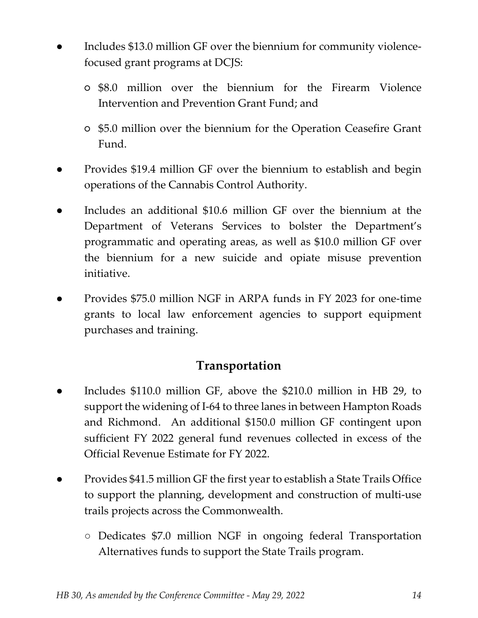- Includes \$13.0 million GF over the biennium for community violencefocused grant programs at DCJS:
	- \$8.0 million over the biennium for the Firearm Violence Intervention and Prevention Grant Fund; and
	- \$5.0 million over the biennium for the Operation Ceasefire Grant Fund.
- Provides \$19.4 million GF over the biennium to establish and begin operations of the Cannabis Control Authority.
- Includes an additional \$10.6 million GF over the biennium at the Department of Veterans Services to bolster the Department's programmatic and operating areas, as well as \$10.0 million GF over the biennium for a new suicide and opiate misuse prevention initiative.
- Provides \$75.0 million NGF in ARPA funds in FY 2023 for one-time grants to local law enforcement agencies to support equipment purchases and training.

# **Transportation**

- Includes  $$110.0$  million GF, above the  $$210.0$  million in HB 29, to support the widening of I-64 to three lanes in between Hampton Roads and Richmond. An additional \$150.0 million GF contingent upon sufficient FY 2022 general fund revenues collected in excess of the Official Revenue Estimate for FY 2022.
- Provides \$41.5 million GF the first year to establish a State Trails Office to support the planning, development and construction of multi-use trails projects across the Commonwealth.
	- Dedicates \$7.0 million NGF in ongoing federal Transportation Alternatives funds to support the State Trails program.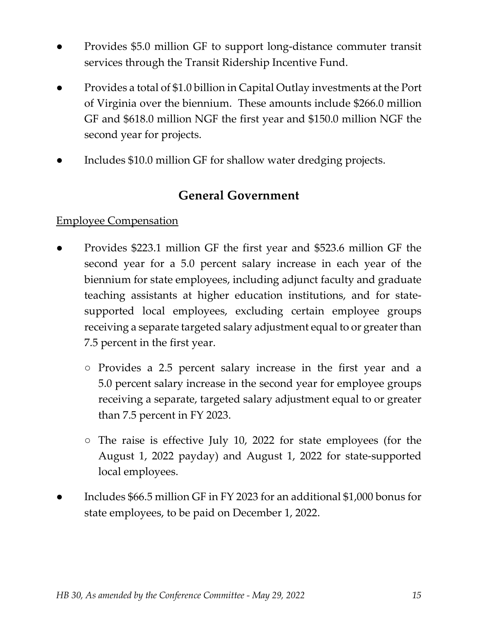- Provides \$5.0 million GF to support long-distance commuter transit services through the Transit Ridership Incentive Fund.
- Provides a total of \$1.0 billion in Capital Outlay investments at the Port of Virginia over the biennium. These amounts include \$266.0 million GF and \$618.0 million NGF the first year and \$150.0 million NGF the second year for projects.
- Includes \$10.0 million GF for shallow water dredging projects.

# **General Government**

### Employee Compensation

- Provides \$223.1 million GF the first year and \$523.6 million GF the second year for a 5.0 percent salary increase in each year of the biennium for state employees, including adjunct faculty and graduate teaching assistants at higher education institutions, and for statesupported local employees, excluding certain employee groups receiving a separate targeted salary adjustment equal to or greater than 7.5 percent in the first year.
	- Provides a 2.5 percent salary increase in the first year and a 5.0 percent salary increase in the second year for employee groups receiving a separate, targeted salary adjustment equal to or greater than 7.5 percent in FY 2023.
	- The raise is effective July 10, 2022 for state employees (for the August 1, 2022 payday) and August 1, 2022 for state-supported local employees.
- Includes \$66.5 million GF in FY 2023 for an additional \$1,000 bonus for state employees, to be paid on December 1, 2022.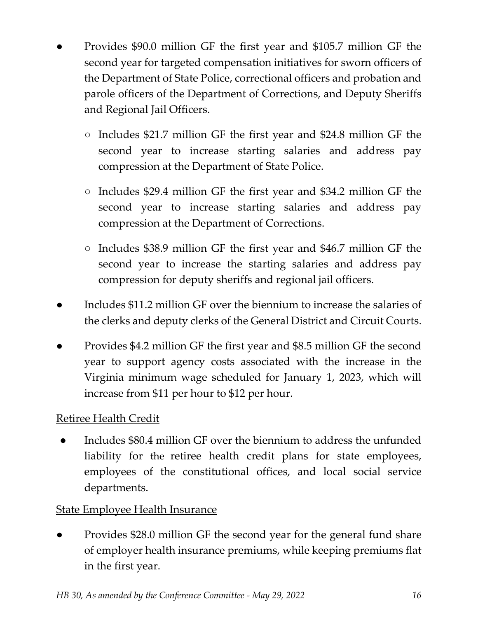- Provides \$90.0 million GF the first year and \$105.7 million GF the second year for targeted compensation initiatives for sworn officers of the Department of State Police, correctional officers and probation and parole officers of the Department of Corrections, and Deputy Sheriffs and Regional Jail Officers.
	- Includes \$21.7 million GF the first year and \$24.8 million GF the second year to increase starting salaries and address pay compression at the Department of State Police.
	- Includes \$29.4 million GF the first year and \$34.2 million GF the second year to increase starting salaries and address pay compression at the Department of Corrections.
	- Includes \$38.9 million GF the first year and \$46.7 million GF the second year to increase the starting salaries and address pay compression for deputy sheriffs and regional jail officers.
- Includes \$11.2 million GF over the biennium to increase the salaries of the clerks and deputy clerks of the General District and Circuit Courts.
- Provides \$4.2 million GF the first year and \$8.5 million GF the second year to support agency costs associated with the increase in the Virginia minimum wage scheduled for January 1, 2023, which will increase from \$11 per hour to \$12 per hour.

### Retiree Health Credit

Includes \$80.4 million GF over the biennium to address the unfunded liability for the retiree health credit plans for state employees, employees of the constitutional offices, and local social service departments.

### State Employee Health Insurance

Provides \$28.0 million GF the second year for the general fund share of employer health insurance premiums, while keeping premiums flat in the first year.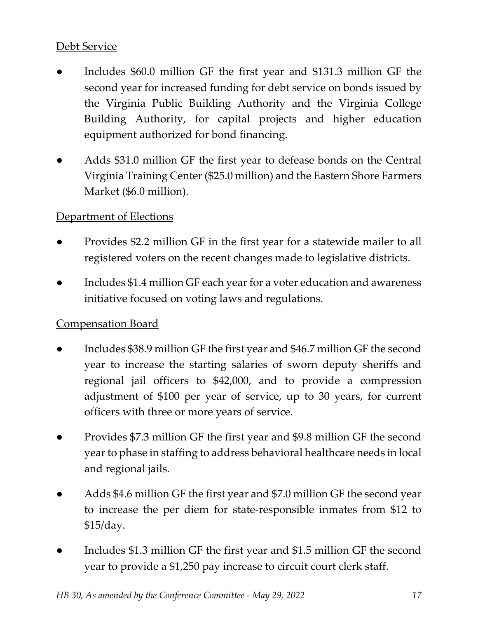### Debt Service

- Includes \$60.0 million GF the first year and \$131.3 million GF the second year for increased funding for debt service on bonds issued by the Virginia Public Building Authority and the Virginia College Building Authority, for capital projects and higher education equipment authorized for bond financing.
- Adds \$31.0 million GF the first year to defease bonds on the Central Virginia Training Center (\$25.0 million) and the Eastern Shore Farmers Market (\$6.0 million).

### Department of Elections

- Provides \$2.2 million GF in the first year for a statewide mailer to all registered voters on the recent changes made to legislative districts.
- Includes \$1.4 million GF each year for a voter education and awareness initiative focused on voting laws and regulations.

### Compensation Board

- Includes \$38.9 million GF the first year and \$46.7 million GF the second year to increase the starting salaries of sworn deputy sheriffs and regional jail officers to \$42,000, and to provide a compression adjustment of \$100 per year of service, up to 30 years, for current officers with three or more years of service.
- Provides \$7.3 million GF the first year and \$9.8 million GF the second year to phase in staffing to address behavioral healthcare needs in local and regional jails.
- Adds \$4.6 million GF the first year and \$7.0 million GF the second year to increase the per diem for state-responsible inmates from \$12 to \$15/day.
- Includes \$1.3 million GF the first year and \$1.5 million GF the second year to provide a \$1,250 pay increase to circuit court clerk staff.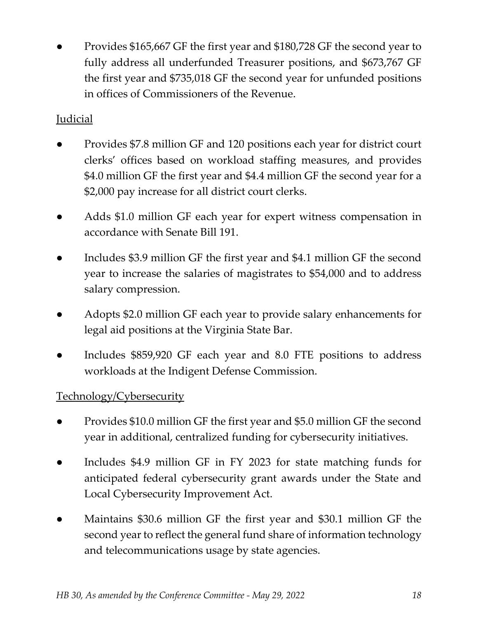Provides \$165,667 GF the first year and \$180,728 GF the second year to fully address all underfunded Treasurer positions, and \$673,767 GF the first year and \$735,018 GF the second year for unfunded positions in offices of Commissioners of the Revenue.

### **Judicial**

- Provides \$7.8 million GF and 120 positions each year for district court clerks' offices based on workload staffing measures, and provides \$4.0 million GF the first year and \$4.4 million GF the second year for a \$2,000 pay increase for all district court clerks.
- Adds \$1.0 million GF each year for expert witness compensation in accordance with Senate Bill 191.
- Includes \$3.9 million GF the first year and \$4.1 million GF the second year to increase the salaries of magistrates to \$54,000 and to address salary compression.
- Adopts \$2.0 million GF each year to provide salary enhancements for legal aid positions at the Virginia State Bar.
- Includes \$859,920 GF each year and 8.0 FTE positions to address workloads at the Indigent Defense Commission.

### Technology/Cybersecurity

- Provides \$10.0 million GF the first year and \$5.0 million GF the second year in additional, centralized funding for cybersecurity initiatives.
- Includes \$4.9 million GF in FY 2023 for state matching funds for anticipated federal cybersecurity grant awards under the State and Local Cybersecurity Improvement Act.
- Maintains \$30.6 million GF the first year and \$30.1 million GF the second year to reflect the general fund share of information technology and telecommunications usage by state agencies.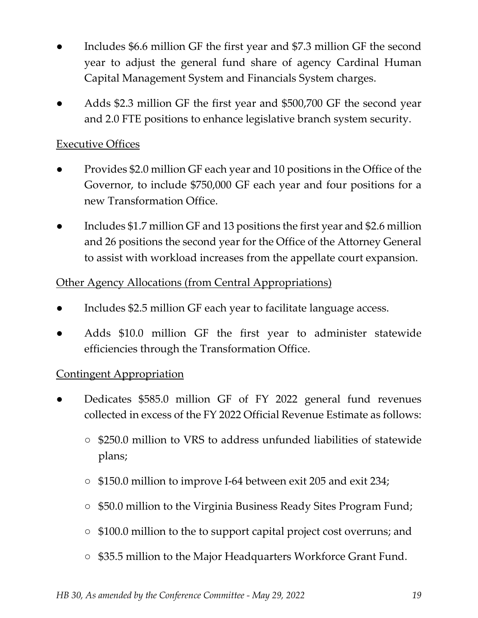- Includes \$6.6 million GF the first year and \$7.3 million GF the second year to adjust the general fund share of agency Cardinal Human Capital Management System and Financials System charges.
- Adds \$2.3 million GF the first year and \$500,700 GF the second year and 2.0 FTE positions to enhance legislative branch system security.

#### Executive Offices

- Provides \$2.0 million GF each year and 10 positions in the Office of the Governor, to include \$750,000 GF each year and four positions for a new Transformation Office.
- Includes \$1.7 million GF and 13 positions the first year and \$2.6 million and 26 positions the second year for the Office of the Attorney General to assist with workload increases from the appellate court expansion.

### Other Agency Allocations (from Central Appropriations)

- Includes \$2.5 million GF each year to facilitate language access.
- Adds \$10.0 million GF the first year to administer statewide efficiencies through the Transformation Office.

### Contingent Appropriation

- Dedicates \$585.0 million GF of FY 2022 general fund revenues collected in excess of the FY 2022 Official Revenue Estimate as follows:
	- \$250.0 million to VRS to address unfunded liabilities of statewide plans;
	- \$150.0 million to improve I-64 between exit 205 and exit 234;
	- \$50.0 million to the Virginia Business Ready Sites Program Fund;
	- \$100.0 million to the to support capital project cost overruns; and
	- \$35.5 million to the Major Headquarters Workforce Grant Fund.